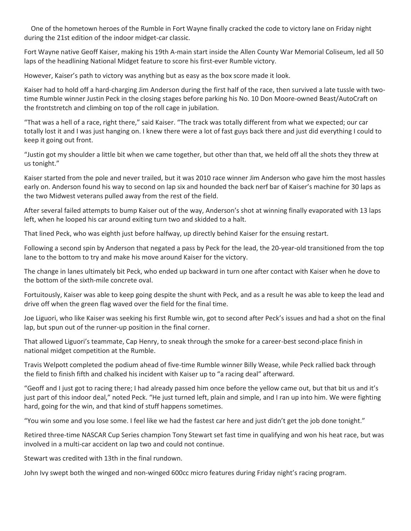One of the hometown heroes of the Rumble in Fort Wayne finally cracked the code to victory lane on Friday night during the 21st edition of the indoor midget-car classic.

Fort Wayne native Geoff Kaiser, making his 19th A-main start inside the Allen County War Memorial Coliseum, led all 50 laps of the headlining National Midget feature to score his first-ever Rumble victory.

However, Kaiser's path to victory was anything but as easy as the box score made it look.

Kaiser had to hold off a hard-charging Jim Anderson during the first half of the race, then survived a late tussle with twotime Rumble winner Justin Peck in the closing stages before parking his No. 10 Don Moore-owned Beast/AutoCraft on the frontstretch and climbing on top of the roll cage in jubilation.

"That was a hell of a race, right there," said Kaiser. "The track was totally different from what we expected; our car totally lost it and I was just hanging on. I knew there were a lot of fast guys back there and just did everything I could to keep it going out front.

"Justin got my shoulder a little bit when we came together, but other than that, we held off all the shots they threw at us tonight."

Kaiser started from the pole and never trailed, but it was 2010 race winner Jim Anderson who gave him the most hassles early on. Anderson found his way to second on lap six and hounded the back nerf bar of Kaiser's machine for 30 laps as the two Midwest veterans pulled away from the rest of the field.

After several failed attempts to bump Kaiser out of the way, Anderson's shot at winning finally evaporated with 13 laps left, when he looped his car around exiting turn two and skidded to a halt.

That lined Peck, who was eighth just before halfway, up directly behind Kaiser for the ensuing restart.

Following a second spin by Anderson that negated a pass by Peck for the lead, the 20-year-old transitioned from the top lane to the bottom to try and make his move around Kaiser for the victory.

The change in lanes ultimately bit Peck, who ended up backward in turn one after contact with Kaiser when he dove to the bottom of the sixth-mile concrete oval.

Fortuitously, Kaiser was able to keep going despite the shunt with Peck, and as a result he was able to keep the lead and drive off when the green flag waved over the field for the final time.

Joe Liguori, who like Kaiser was seeking his first Rumble win, got to second after Peck's issues and had a shot on the final lap, but spun out of the runner-up position in the final corner.

That allowed Liguori's teammate, Cap Henry, to sneak through the smoke for a career-best second-place finish in national midget competition at the Rumble.

Travis Welpott completed the podium ahead of five-time Rumble winner Billy Wease, while Peck rallied back through the field to finish fifth and chalked his incident with Kaiser up to "a racing deal" afterward.

"Geoff and I just got to racing there; I had already passed him once before the yellow came out, but that bit us and it's just part of this indoor deal," noted Peck. "He just turned left, plain and simple, and I ran up into him. We were fighting hard, going for the win, and that kind of stuff happens sometimes.

"You win some and you lose some. I feel like we had the fastest car here and just didn't get the job done tonight."

Retired three-time NASCAR Cup Series champion Tony Stewart set fast time in qualifying and won his heat race, but was involved in a multi-car accident on lap two and could not continue.

Stewart was credited with 13th in the final rundown.

John Ivy swept both the winged and non-winged 600cc micro features during Friday night's racing program.